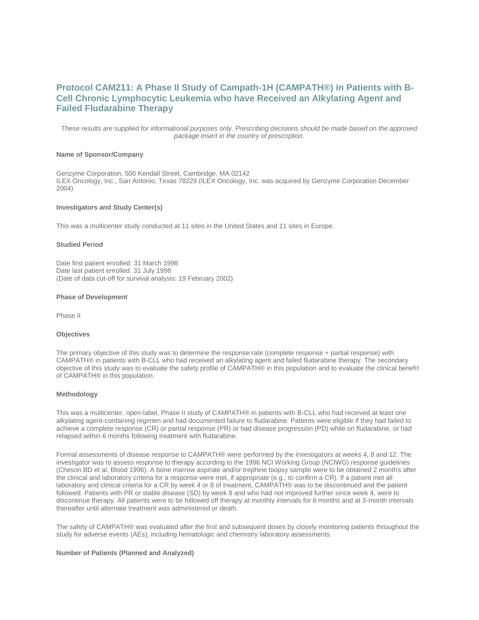# **Protocol CAM211: A Phase II Study of Campath-1H (CAMPATH®) in Patients with B-Cell Chronic Lymphocytic Leukemia who have Received an Alkylating Agent and Failed Fludarabine Therapy**

*These results are supplied for informational purposes only. Prescribing decisions should be made based on the approved package insert in the country of prescription.*

# **Name of Sponsor/Company**

Genzyme Corporation, 500 Kendall Street, Cambridge, MA 02142 ILEX Oncology, Inc., San Antonio, Texas 78229 (ILEX Oncology, Inc. was acquired by Genzyme Corporation December 2004)

### **Investigators and Study Center(s)**

This was a multicenter study conducted at 11 sites in the United States and 11 sites in Europe.

## **Studied Period**

Date first patient enrolled: 31 March 1998 Date last patient enrolled: 31 July 1998 (Date of data cut-off for survival analysis: 19 February 2002)

#### **Phase of Development**

Phase II

#### **Objectives**

The primary objective of this study was to determine the response rate (complete response + partial response) with CAMPATH® in patients with B-CLL who had received an alkylating agent and failed fludarabine therapy. The secondary objective of this study was to evaluate the safety profile of CAMPATH® in this population and to evaluate the clinical benefit of CAMPATH® in this population.

#### **Methodology**

This was a multicenter, open-label, Phase II study of CAMPATH® in patients with B-CLL who had received at least one alkylating agent-containing regimen and had documented failure to fludarabine. Patients were eligible if they had failed to achieve a complete response (CR) or partial response (PR) or had disease progression (PD) while on fludarabine, or had relapsed within 6 months following treatment with fludarabine.

Formal assessments of disease response to CAMPATH® were performed by the investigators at weeks 4, 8 and 12. The investigator was to assess response to therapy according to the 1996 NCI Working Group (NCIWG) response guidelines (Cheson BD et al. Blood 1996). A bone marrow aspirate and/or trephine biopsy sample were to be obtained 2 months after the clinical and laboratory criteria for a response were met, if appropriate (e.g., to confirm a CR). If a patient met all laboratory and clinical criteria for a CR by week 4 or 8 of treatment, CAMPATH® was to be discontinued and the patient followed. Patients with PR or stable disease (SD) by week 8 and who had not improved further since week 4, were to discontinue therapy. All patients were to be followed off therapy at monthly intervals for 6 months and at 3-month intervals thereafter until alternate treatment was administered or death.

The safety of CAMPATH® was evaluated after the first and subsequent doses by closely monitoring patients throughout the study for adverse events (AEs), including hematologic and chemistry laboratory assessments.

#### **Number of Patients (Planned and Analyzed)**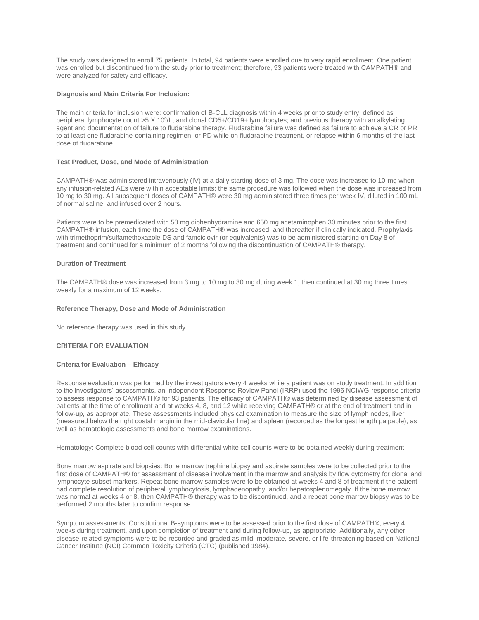The study was designed to enroll 75 patients. In total, 94 patients were enrolled due to very rapid enrollment. One patient was enrolled but discontinued from the study prior to treatment; therefore, 93 patients were treated with CAMPATH® and were analyzed for safety and efficacy.

# **Diagnosis and Main Criteria For Inclusion:**

The main criteria for inclusion were: confirmation of B-CLL diagnosis within 4 weeks prior to study entry, defined as peripheral lymphocyte count >5 X 10<sup>9</sup>/L, and clonal CD5+/CD19+ lymphocytes; and previous therapy with an alkylating agent and documentation of failure to fludarabine therapy. Fludarabine failure was defined as failure to achieve a CR or PR to at least one fludarabine-containing regimen, or PD while on fludarabine treatment, or relapse within 6 months of the last dose of fludarabine.

# **Test Product, Dose, and Mode of Administration**

CAMPATH® was administered intravenously (IV) at a daily starting dose of 3 mg. The dose was increased to 10 mg when any infusion-related AEs were within acceptable limits; the same procedure was followed when the dose was increased from 10 mg to 30 mg. All subsequent doses of CAMPATH® were 30 mg administered three times per week IV, diluted in 100 mL of normal saline, and infused over 2 hours.

Patients were to be premedicated with 50 mg diphenhydramine and 650 mg acetaminophen 30 minutes prior to the first CAMPATH® infusion, each time the dose of CAMPATH® was increased, and thereafter if clinically indicated. Prophylaxis with trimethoprim/sulfamethoxazole DS and famciclovir (or equivalents) was to be administered starting on Day 8 of treatment and continued for a minimum of 2 months following the discontinuation of CAMPATH® therapy.

# **Duration of Treatment**

The CAMPATH® dose was increased from 3 mg to 10 mg to 30 mg during week 1, then continued at 30 mg three times weekly for a maximum of 12 weeks.

# **Reference Therapy, Dose and Mode of Administration**

No reference therapy was used in this study.

# **CRITERIA FOR EVALUATION**

# **Criteria for Evaluation – Efficacy**

Response evaluation was performed by the investigators every 4 weeks while a patient was on study treatment. In addition to the investigators' assessments, an Independent Response Review Panel (IRRP) used the 1996 NCIWG response criteria to assess response to CAMPATH® for 93 patients. The efficacy of CAMPATH® was determined by disease assessment of patients at the time of enrollment and at weeks 4, 8, and 12 while receiving CAMPATH® or at the end of treatment and in follow-up, as appropriate. These assessments included physical examination to measure the size of lymph nodes, liver (measured below the right costal margin in the mid-clavicular line) and spleen (recorded as the longest length palpable), as well as hematologic assessments and bone marrow examinations.

Hematology: Complete blood cell counts with differential white cell counts were to be obtained weekly during treatment.

Bone marrow aspirate and biopsies: Bone marrow trephine biopsy and aspirate samples were to be collected prior to the first dose of CAMPATH® for assessment of disease involvement in the marrow and analysis by flow cytometry for clonal and lymphocyte subset markers. Repeat bone marrow samples were to be obtained at weeks 4 and 8 of treatment if the patient had complete resolution of peripheral lymphocytosis, lymphadenopathy, and/or hepatosplenomegaly. If the bone marrow was normal at weeks 4 or 8, then CAMPATH® therapy was to be discontinued, and a repeat bone marrow biopsy was to be performed 2 months later to confirm response.

Symptom assessments: Constitutional B-symptoms were to be assessed prior to the first dose of CAMPATH®, every 4 weeks during treatment, and upon completion of treatment and during follow-up, as appropriate. Additionally, any other disease-related symptoms were to be recorded and graded as mild, moderate, severe, or life-threatening based on National Cancer Institute (NCI) Common Toxicity Criteria (CTC) (published 1984).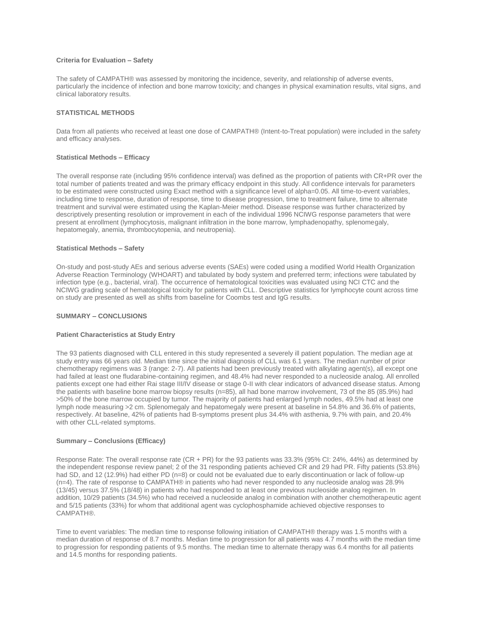# **Criteria for Evaluation – Safety**

The safety of CAMPATH® was assessed by monitoring the incidence, severity, and relationship of adverse events, particularly the incidence of infection and bone marrow toxicity; and changes in physical examination results, vital signs, and clinical laboratory results.

# **STATISTICAL METHODS**

Data from all patients who received at least one dose of CAMPATH® (Intent-to-Treat population) were included in the safety and efficacy analyses.

# **Statistical Methods – Efficacy**

The overall response rate (including 95% confidence interval) was defined as the proportion of patients with CR+PR over the total number of patients treated and was the primary efficacy endpoint in this study. All confidence intervals for parameters to be estimated were constructed using Exact method with a significance level of alpha=0.05. All time-to-event variables, including time to response, duration of response, time to disease progression, time to treatment failure, time to alternate treatment and survival were estimated using the Kaplan-Meier method. Disease response was further characterized by descriptively presenting resolution or improvement in each of the individual 1996 NCIWG response parameters that were present at enrollment (lymphocytosis, malignant infiltration in the bone marrow, lymphadenopathy, splenomegaly, hepatomegaly, anemia, thrombocytopenia, and neutropenia).

# **Statistical Methods – Safety**

On-study and post-study AEs and serious adverse events (SAEs) were coded using a modified World Health Organization Adverse Reaction Terminology (WHOART) and tabulated by body system and preferred term; infections were tabulated by infection type (e.g., bacterial, viral). The occurrence of hematological toxicities was evaluated using NCI CTC and the NCIWG grading scale of hematological toxicity for patients with CLL. Descriptive statistics for lymphocyte count across time on study are presented as well as shifts from baseline for Coombs test and IgG results.

## **SUMMARY – CONCLUSIONS**

## **Patient Characteristics at Study Entry**

The 93 patients diagnosed with CLL entered in this study represented a severely ill patient population. The median age at study entry was 66 years old. Median time since the initial diagnosis of CLL was 6.1 years. The median number of prior chemotherapy regimens was 3 (range: 2-7). All patients had been previously treated with alkylating agent(s), all except one had failed at least one fludarabine-containing regimen, and 48.4% had never responded to a nucleoside analog. All enrolled patients except one had either Rai stage III/IV disease or stage 0-II with clear indicators of advanced disease status. Among the patients with baseline bone marrow biopsy results (n=85), all had bone marrow involvement, 73 of the 85 (85.9%) had >50% of the bone marrow occupied by tumor. The majority of patients had enlarged lymph nodes, 49.5% had at least one lymph node measuring >2 cm. Splenomegaly and hepatomegaly were present at baseline in 54.8% and 36.6% of patients, respectively. At baseline, 42% of patients had B-symptoms present plus 34.4% with asthenia, 9.7% with pain, and 20.4% with other CLL-related symptoms.

# **Summary – Conclusions (Efficacy)**

Response Rate: The overall response rate (CR + PR) for the 93 patients was 33.3% (95% CI: 24%, 44%) as determined by the independent response review panel; 2 of the 31 responding patients achieved CR and 29 had PR. Fifty patients (53.8%) had SD, and 12 (12.9%) had either PD (n=8) or could not be evaluated due to early discontinuation or lack of follow-up (n=4). The rate of response to CAMPATH® in patients who had never responded to any nucleoside analog was 28.9% (13/45) versus 37.5% (18/48) in patients who had responded to at least one previous nucleoside analog regimen. In addition, 10/29 patients (34.5%) who had received a nucleoside analog in combination with another chemotherapeutic agent and 5/15 patients (33%) for whom that additional agent was cyclophosphamide achieved objective responses to CAMPATH®.

Time to event variables: The median time to response following initiation of CAMPATH® therapy was 1.5 months with a median duration of response of 8.7 months. Median time to progression for all patients was 4.7 months with the median time to progression for responding patients of 9.5 months. The median time to alternate therapy was 6.4 months for all patients and 14.5 months for responding patients.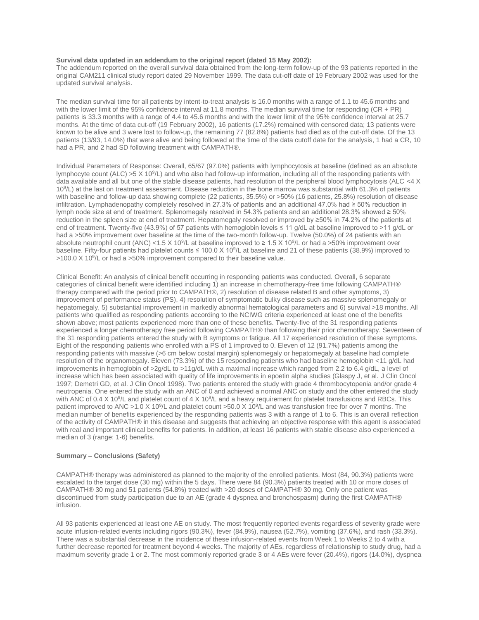### **Survival data updated in an addendum to the original report (dated 15 May 2002):**

The addendum reported on the overall survival data obtained from the long-term follow-up of the 93 patients reported in the original CAM211 clinical study report dated 29 November 1999. The data cut-off date of 19 February 2002 was used for the updated survival analysis.

The median survival time for all patients by intent-to-treat analysis is 16.0 months with a range of 1.1 to 45.6 months and with the lower limit of the 95% confidence interval at 11.8 months. The median survival time for responding (CR + PR) patients is 33.3 months with a range of 4.4 to 45.6 months and with the lower limit of the 95% confidence interval at 25.7 months. At the time of data cut-off (19 February 2002), 16 patients (17.2%) remained with censored data; 13 patients were known to be alive and 3 were lost to follow-up, the remaining 77 (82.8%) patients had died as of the cut-off date. Of the 13 patients (13/93, 14.0%) that were alive and being followed at the time of the data cutoff date for the analysis, 1 had a CR, 10 had a PR, and 2 had SD following treatment with CAMPATH®.

Individual Parameters of Response: Overall, 65/67 (97.0%) patients with lymphocytosis at baseline (defined as an absolute lymphocyte count (ALC) >5 X 10<sup>9</sup>/L) and who also had follow-up information, including all of the responding patients with data available and all but one of the stable disease patients, had resolution of the peripheral blood lymphocytosis (ALC <4 X 10<sup>9</sup> /L) at the last on treatment assessment. Disease reduction in the bone marrow was substantial with 61.3% of patients with baseline and follow-up data showing complete (22 patients, 35.5%) or >50% (16 patients, 25.8%) resolution of disease infiltration. Lymphadenopathy completely resolved in 27.3% of patients and an additional 47.0% had ≥ 50% reduction in lymph node size at end of treatment. Splenomegaly resolved in 54.3% patients and an additional 28.3% showed ≥ 50% reduction in the spleen size at end of treatment. Hepatomegaly resolved or improved by ≥50% in 74.2% of the patients at end of treatment. Twenty-five (43.9%) of 57 patients with hemoglobin levels ≤ 11 g/dL at baseline improved to >11 g/dL or had a >50% improvement over baseline at the time of the two-month follow-up. Twelve (50.0%) of 24 patients with an absolute neutrophil count (ANC) <1.5 X 10<sup>9</sup>/L at baseline improved to ≥ 1.5 X 10<sup>9</sup>/L or had a >50% improvement over baseline. Fifty-four patients had platelet counts ≤ 100.0 X 10<sup>9</sup> /L at baseline and 21 of these patients (38.9%) improved to >100.0 X 10<sup>9</sup>/L or had a >50% improvement compared to their baseline value.

Clinical Benefit: An analysis of clinical benefit occurring in responding patients was conducted. Overall, 6 separate categories of clinical benefit were identified including 1) an increase in chemotherapy-free time following CAMPATH® therapy compared with the period prior to CAMPATH®, 2) resolution of disease related B and other symptoms, 3) improvement of performance status (PS), 4) resolution of symptomatic bulky disease such as massive splenomegaly or hepatomegaly, 5) substantial improvement in markedly abnormal hematological parameters and 6) survival >18 months. All patients who qualified as responding patients according to the NCIWG criteria experienced at least one of the benefits shown above; most patients experienced more than one of these benefits. Twenty-five of the 31 responding patients experienced a longer chemotherapy free period following CAMPATH® than following their prior chemotherapy. Seventeen of the 31 responding patients entered the study with B symptoms or fatigue. All 17 experienced resolution of these symptoms. Eight of the responding patients who enrolled with a PS of 1 improved to 0. Eleven of 12 (91.7%) patients among the responding patients with massive (>6 cm below costal margin) splenomegaly or hepatomegaly at baseline had complete resolution of the organomegaly. Eleven (73.3%) of the 15 responding patients who had baseline hemoglobin <11 g/dL had improvements in hemoglobin of >2g/dL to >11g/dL with a maximal increase which ranged from 2.2 to 6.4 g/dL, a level of increase which has been associated with quality of life improvements in epoetin alpha studies (Glaspy J, et al. J Clin Oncol 1997; Demetri GD, et al. J Clin Oncol 1998). Two patients entered the study with grade 4 thrombocytopenia and/or grade 4 neutropenia. One entered the study with an ANC of 0 and achieved a normal ANC on study and the other entered the study with ANC of 0.4 X 10<sup>9</sup>/L and platelet count of 4 X 10<sup>9</sup>/L and a heavy requirement for platelet transfusions and RBCs. This patient improved to ANC >1.0 X 10<sup>9</sup>/L and platelet count >50.0 X 10<sup>9</sup>/L and was transfusion free for over 7 months. The median number of benefits experienced by the responding patients was 3 with a range of 1 to 6. This is an overall reflection of the activity of CAMPATH® in this disease and suggests that achieving an objective response with this agent is associated with real and important clinical benefits for patients. In addition, at least 16 patients with stable disease also experienced a median of 3 (range: 1-6) benefits.

# **Summary – Conclusions (Safety)**

CAMPATH® therapy was administered as planned to the majority of the enrolled patients. Most (84, 90.3%) patients were escalated to the target dose (30 mg) within the 5 days. There were 84 (90.3%) patients treated with 10 or more doses of CAMPATH® 30 mg and 51 patients (54.8%) treated with >20 doses of CAMPATH® 30 mg. Only one patient was discontinued from study participation due to an AE (grade 4 dyspnea and bronchospasm) during the first CAMPATH® infusion.

All 93 patients experienced at least one AE on study. The most frequently reported events regardless of severity grade were acute infusion-related events including rigors (90.3%), fever (84.9%), nausea (52.7%), vomiting (37.6%), and rash (33.3%). There was a substantial decrease in the incidence of these infusion-related events from Week 1 to Weeks 2 to 4 with a further decrease reported for treatment beyond 4 weeks. The majority of AEs, regardless of relationship to study drug, had a maximum severity grade 1 or 2. The most commonly reported grade 3 or 4 AEs were fever (20.4%), rigors (14.0%), dyspnea